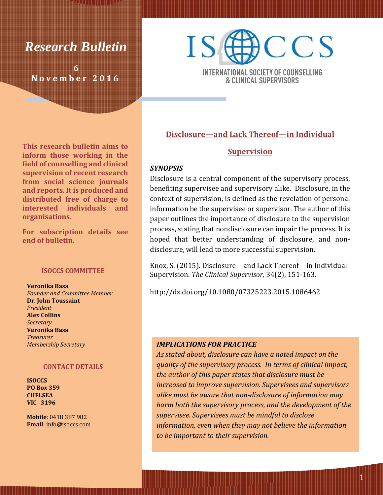# *Research Bulletin*

**6 N o v e m b e r 2 0 1 6**



INTERNATIONAL SOCIETY OF COUNSELLING & CLINICAL SUPERVISORS

### **Disclosure—and Lack Thereof—in Individual**

### **Supervision**

#### *SYNOPSIS*

Disclosure is a central component of the supervisory process, benefiting supervisee and supervisory alike. Disclosure, in the context of supervision, is defined as the revelation of personal information be the supervisee or supervisor. The author of this paper outlines the importance of disclosure to the supervision process, stating that nondisclosure can impair the process. It is hoped that better understanding of disclosure, and nondisclosure, will lead to more successful supervision.

Knox, S. (2015). Disclosure—and Lack Thereof—in Individual Supervision. *The Clinical Supervisor,* 34(2), 151-163.

http://dx.doi.org/10.1080/07325223.2015.1086462

### *IMPLICATIONS FOR PRACTICE*

*As stated about, disclosure can have a noted impact on the quality of the supervisory process. In terms of clinical impact, the author of this paper states that disclosure must be increased to improve supervision. Supervisees and supervisors alike must be aware that non-disclosure of information may harm both the supervisory process, and the development of the supervisee. Supervisees must be mindful to disclose information, even when they may not believe the information to be important to their supervision.*

**This research bulletin aims to inform those working in the field of counselling and clinical supervision of recent research from social science journals and reports. It is produced and distributed free of charge to interested individuals and organisations.** 

**For subscription details see end of bulletin.**

#### **ISOCCS COMMITTEE**

**Veronika Basa** *Founder and Committee Member* **Dr. John Toussaint** *President* **Alex Collins** *Secretary* **Veronika Basa** *Treasurer Membership Secretary*

#### **CONTACT DETAILS**

**ISOCCS PO Box 359 CHELSEA VIC 3196**

**Mobile**: 0418 387 982 **Email**: [info@isoccs.com](mailto:info@isoccs.com)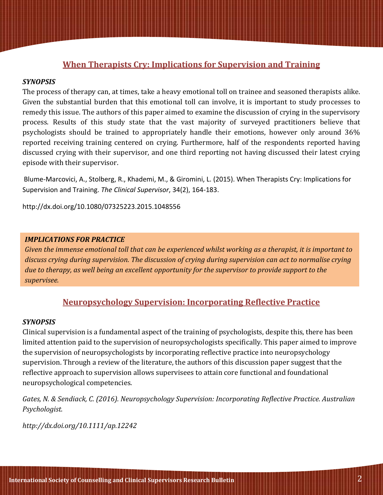### **When Therapists Cry: Implications for Supervision and Training**

### *SYNOPSIS*

The process of therapy can, at times, take a heavy emotional toll on trainee and seasoned therapists alike. Given the substantial burden that this emotional toll can involve, it is important to study processes to remedy this issue. The authors of this paper aimed to examine the discussion of crying in the supervisory process. Results of this study state that the vast majority of surveyed practitioners believe that psychologists should be trained to appropriately handle their emotions, however only around 36% reported receiving training centered on crying. Furthermore, half of the respondents reported having discussed crying with their supervisor, and one third reporting not having discussed their latest crying episode with their supervisor.

Blume-Marcovici, A., Stolberg, R., Khademi, M., & Giromini, L. (2015). When Therapists Cry: Implications for Supervision and Training. *The Clinical Supervisor*, 34(2), 164-183.

http://dx.doi.org/10.1080/07325223.2015.1048556

### *IMPLICATIONS FOR PRACTICE*

*Given the immense emotional toll that can be experienced whilst working as a therapist, it is important to discuss crying during supervision. The discussion of crying during supervision can act to normalise crying due to therapy, as well being an excellent opportunity for the supervisor to provide support to the supervisee.*

### **Neuropsychology Supervision: Incorporating Reflective Practice**

### *SYNOPSIS*

Clinical supervision is a fundamental aspect of the training of psychologists, despite this, there has been limited attention paid to the supervision of neuropsychologists specifically. This paper aimed to improve the supervision of neuropsychologists by incorporating reflective practice into neuropsychology supervision. Through a review of the literature, the authors of this discussion paper suggest that the reflective approach to supervision allows supervisees to attain core functional and foundational neuropsychological competencies.

*Gates, N. & Sendiack, C. (2016). Neuropsychology Supervision: Incorporating Reflective Practice. Australian Psychologist.* 

*http://dx.doi.org/10.1111/ap.12242*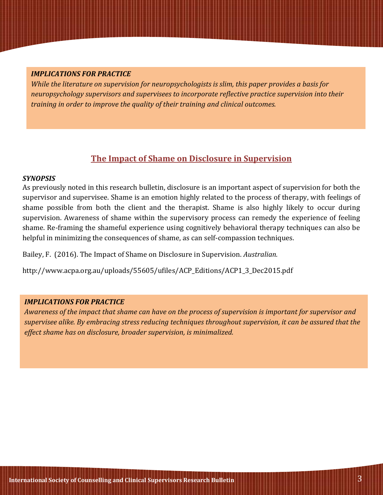### *IMPLICATIONS FOR PRACTICE*

*While the literature on supervision for neuropsychologists is slim, this paper provides a basis for neuropsychology supervisors and supervisees to incorporate reflective practice supervision into their training in order to improve the quality of their training and clinical outcomes.*

### **The Impact of Shame on Disclosure in Supervision**

#### *SYNOPSIS*

As previously noted in this research bulletin, disclosure is an important aspect of supervision for both the supervisor and supervisee. Shame is an emotion highly related to the process of therapy, with feelings of shame possible from both the client and the therapist. Shame is also highly likely to occur during supervision. Awareness of shame within the supervisory process can remedy the experience of feeling shame. Re-framing the shameful experience using cognitively behavioral therapy techniques can also be helpful in minimizing the consequences of shame, as can self-compassion techniques.

Bailey, F. (2016). The Impact of Shame on Disclosure in Supervision. *Australian.* 

http://www.acpa.org.au/uploads/55605/ufiles/ACP\_Editions/ACP1\_3\_Dec2015.pdf

#### *IMPLICATIONS FOR PRACTICE*

*Awareness of the impact that shame can have on the process of supervision is important for supervisor and supervisee alike. By embracing stress reducing techniques throughout supervision, it can be assured that the effect shame has on disclosure, broader supervision, is minimalized.*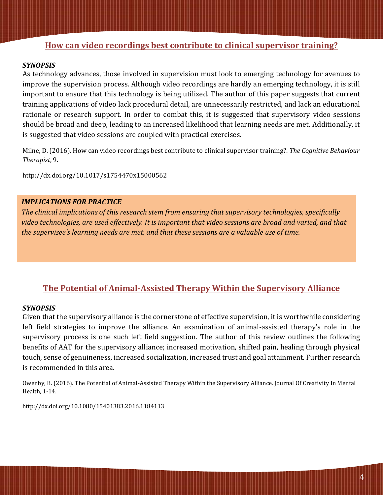### **How can video recordings best contribute to clinical supervisor training?**

### *SYNOPSIS*

As technology advances, those involved in supervision must look to emerging technology for avenues to improve the supervision process. Although video recordings are hardly an emerging technology, it is still important to ensure that this technology is being utilized. The author of this paper suggests that current training applications of video lack procedural detail, are unnecessarily restricted, and lack an educational rationale or research support. In order to combat this, it is suggested that supervisory video sessions should be broad and deep, leading to an increased likelihood that learning needs are met. Additionally, it is suggested that video sessions are coupled with practical exercises.

Milne, D. (2016). How can video recordings best contribute to clinical supervisor training?. *The Cognitive Behaviour Therapist*, 9.

http://dx.doi.org/10.1017/s1754470x15000562

#### *IMPLICATIONS FOR PRACTICE*

*The clinical implications of this research stem from ensuring that supervisory technologies, specifically video technologies, are used effectively. It is important that video sessions are broad and varied, and that the supervisee's learning needs are met, and that these sessions are a valuable use of time.*

### **The Potential of Animal-Assisted Therapy Within the Supervisory Alliance**

### *SYNOPSIS*

Given that the supervisory alliance is the cornerstone of effective supervision, it is worthwhile considering left field strategies to improve the alliance. An examination of animal-assisted therapy's role in the supervisory process is one such left field suggestion. The author of this review outlines the following benefits of AAT for the supervisory alliance; increased motivation, shifted pain, healing through physical touch, sense of genuineness, increased socialization, increased trust and goal attainment. Further research is recommended in this area.

Owenby, B. (2016). The Potential of Animal-Assisted Therapy Within the Supervisory Alliance. Journal Of Creativity In Mental Health, 1-14.

http://dx.doi.org/10.1080/15401383.2016.1184113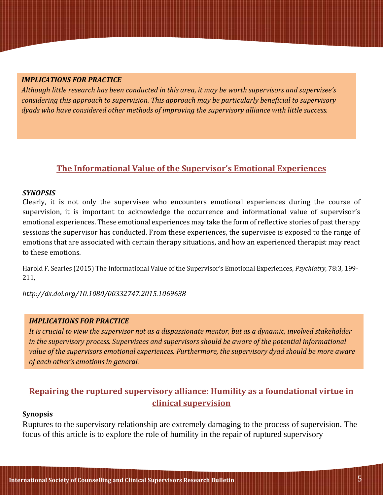### *IMPLICATIONS FOR PRACTICE*

*Although little research has been conducted in this area, it may be worth supervisors and supervisee's considering this approach to supervision. This approach may be particularly beneficial to supervisory dyads who have considered other methods of improving the supervisory alliance with little success.*

### **The Informational Value of the Supervisor's Emotional Experiences**

#### *SYNOPSIS*

Clearly, it is not only the supervisee who encounters emotional experiences during the course of supervision, it is important to acknowledge the occurrence and informational value of supervisor's emotional experiences. These emotional experiences may take the form of reflective stories of past therapy sessions the supervisor has conducted. From these experiences, the supervisee is exposed to the range of emotions that are associated with certain therapy situations, and how an experienced therapist may react to these emotions.

Harold F. Searles (2015) The Informational Value of the Supervisor's Emotional Experiences, *Psychiatry*, 78:3, 199- 211,

*http://dx.doi.org/10.1080/00332747.2015.1069638*

### *IMPLICATIONS FOR PRACTICE*

*It is crucial to view the supervisor not as a dispassionate mentor, but as a dynamic, involved stakeholder in the supervisory process. Supervisees and supervisors should be aware of the potential informational value of the supervisors emotional experiences. Furthermore, the supervisory dyad should be more aware of each other's emotions in general.*

### **Repairing the ruptured supervisory alliance: Humility as a foundational virtue in clinical supervision**

#### **Synopsis**

Ruptures to the supervisory relationship are extremely damaging to the process of supervision. The focus of this article is to explore the role of humility in the repair of ruptured supervisory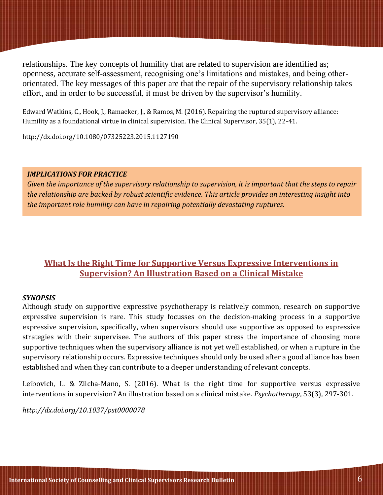relationships. The key concepts of humility that are related to supervision are identified as; openness, accurate self-assessment, recognising one's limitations and mistakes, and being otherorientated. The key messages of this paper are that the repair of the supervisory relationship takes effort, and in order to be successful, it must be driven by the supervisor's humility.

Edward Watkins, C., Hook, J., Ramaeker, J., & Ramos, M. (2016). Repairing the ruptured supervisory alliance: Humility as a foundational virtue in clinical supervision. The Clinical Supervisor, 35(1), 22-41.

http://dx.doi.org/10.1080/07325223.2015.1127190

### *IMPLICATIONS FOR PRACTICE*

*Given the importance of the supervisory relationship to supervision, it is important that the steps to repair the relationship are backed by robust scientific evidence. This article provides an interesting insight into the important role humility can have in repairing potentially devastating ruptures.*

### **What Is the Right Time for Supportive Versus Expressive Interventions in Supervision? An Illustration Based on a Clinical Mistake**

### *SYNOPSIS*

Although study on supportive expressive psychotherapy is relatively common, research on supportive expressive supervision is rare. This study focusses on the decision-making process in a supportive expressive supervision, specifically, when supervisors should use supportive as opposed to expressive strategies with their supervisee. The authors of this paper stress the importance of choosing more supportive techniques when the supervisory alliance is not yet well established, or when a rupture in the supervisory relationship occurs. Expressive techniques should only be used after a good alliance has been established and when they can contribute to a deeper understanding of relevant concepts.

Leibovich, L. & Zilcha-Mano, S. (2016). What is the right time for supportive versus expressive interventions in supervision? An illustration based on a clinical mistake. *Psychotherapy*, 53(3), 297-301.

*http://dx.doi.org/10.1037/pst0000078*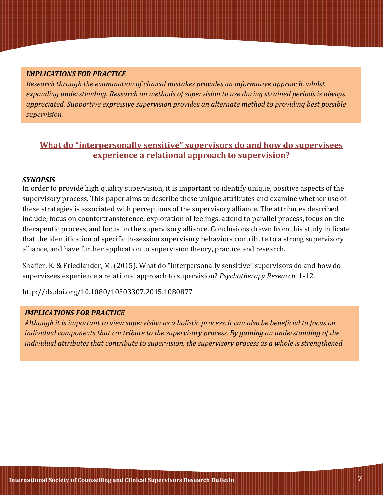### *IMPLICATIONS FOR PRACTICE*

*Research through the examination of clinical mistakes provides an informative approach, whilst expanding understanding. Research on methods of supervision to use during strained periods is always appreciated. Supportive expressive supervision provides an alternate method to providing best possible supervision.*

### **What do "interpersonally sensitive" supervisors do and how do supervisees experience a relational approach to supervision?**

### *SYNOPSIS*

In order to provide high quality supervision, it is important to identify unique, positive aspects of the supervisory process. This paper aims to describe these unique attributes and examine whether use of these strategies is associated with perceptions of the supervisory alliance. The attributes described include; focus on countertransference, exploration of feelings, attend to parallel process, focus on the therapeutic process, and focus on the supervisory alliance. Conclusions drawn from this study indicate that the identification of specific in-session supervisory behaviors contribute to a strong supervisory alliance, and have further application to supervision theory, practice and research.

Shaffer, K. & Friedlander, M. (2015). What do "interpersonally sensitive" supervisors do and how do supervisees experience a relational approach to supervision? *Psychotherapy Research*, 1-12.

http://dx.doi.org/10.1080/10503307.2015.1080877

### *IMPLICATIONS FOR PRACTICE*

*Although it is important to view supervision as a holistic process, it can also be beneficial to focus on individual components that contribute to the supervisory process. By gaining an understanding of the individual attributes that contribute to supervision, the supervisory process as a whole is strengthened*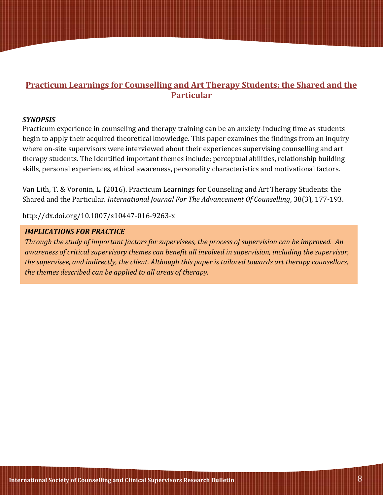### **Practicum Learnings for Counselling and Art Therapy Students: the Shared and the Particular**

### *SYNOPSIS*

Practicum experience in counseling and therapy training can be an anxiety-inducing time as students begin to apply their acquired theoretical knowledge. This paper examines the findings from an inquiry where on-site supervisors were interviewed about their experiences supervising counselling and art therapy students. The identified important themes include; perceptual abilities, relationship building skills, personal experiences, ethical awareness, personality characteristics and motivational factors.

Van Lith, T. & Voronin, L. (2016). Practicum Learnings for Counseling and Art Therapy Students: the Shared and the Particular. *International Journal For The Advancement Of Counselling*, 38(3), 177-193.

http://dx.doi.org/10.1007/s10447-016-9263-x

### *IMPLICATIONS FOR PRACTICE*

*Through the study of important factors for supervisees, the process of supervision can be improved. An awareness of critical supervisory themes can benefit all involved in supervision, including the supervisor, the supervisee, and indirectly, the client. Although this paper is tailored towards art therapy counsellors, the themes described can be applied to all areas of therapy.*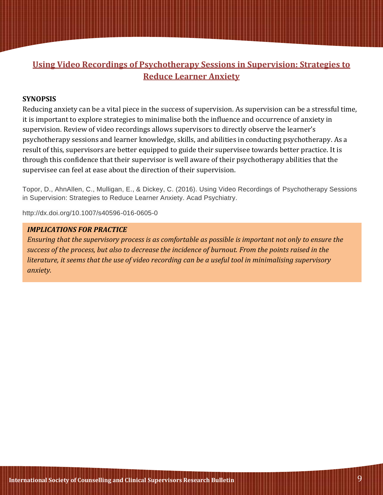## **Using Video Recordings of Psychotherapy Sessions in Supervision: Strategies to Reduce Learner Anxiety**

#### **SYNOPSIS**

Reducing anxiety can be a vital piece in the success of supervision. As supervision can be a stressful time, it is important to explore strategies to minimalise both the influence and occurrence of anxiety in supervision. Review of video recordings allows supervisors to directly observe the learner's psychotherapy sessions and learner knowledge, skills, and abilities in conducting psychotherapy. As a result of this, supervisors are better equipped to guide their supervisee towards better practice. It is through this confidence that their supervisor is well aware of their psychotherapy abilities that the supervisee can feel at ease about the direction of their supervision.

Topor, D., AhnAllen, C., Mulligan, E., & Dickey, C. (2016). Using Video Recordings of Psychotherapy Sessions in Supervision: Strategies to Reduce Learner Anxiety. Acad Psychiatry.

http://dx.doi.org/10.1007/s40596-016-0605-0

### *IMPLICATIONS FOR PRACTICE*

*Ensuring that the supervisory process is as comfortable as possible is important not only to ensure the success of the process, but also to decrease the incidence of burnout. From the points raised in the literature, it seems that the use of video recording can be a useful tool in minimalising supervisory anxiety.*